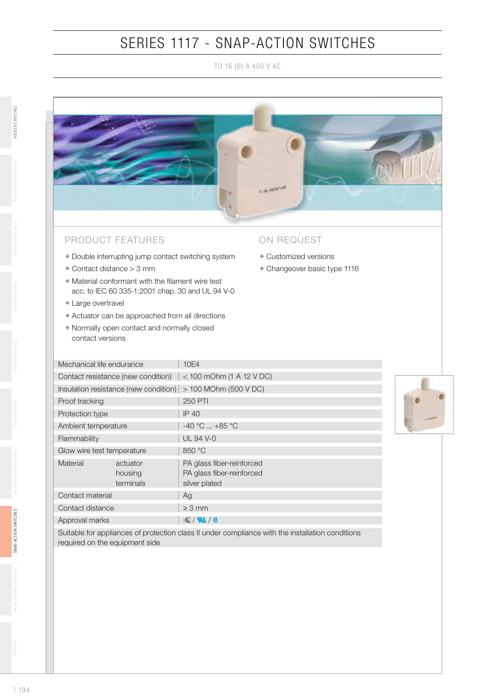## SERIES 1117 - SNAP-ACTION SWITCHES

TO 16 (6) A 400 V AC



## PRODUCT FEATURES

- Double interrupting jump contact switching system
- Contact distance > 3 mm
- $\bullet$  Material conformant with the filament wire test acc. to IEC 60 335-1:2001 chap. 30 and UL 94 V-0
- Large overtravel
- Actuator can be approached from all directions
- Normally open contact and normally closed contact versions

## ON REQUEST

- Customized versions
- Changeover basic type 1116

|  | Mechanical life endurance             |                                  | 10E4                                                                    |
|--|---------------------------------------|----------------------------------|-------------------------------------------------------------------------|
|  | Contact resistance (new condition)    |                                  | $<$ 100 mOhm (1 A 12 V DC)                                              |
|  | Insulation resistance (new condition) |                                  | > 100 MOhm (500 V DC)                                                   |
|  | Proof tracking                        |                                  | <b>250 PTI</b>                                                          |
|  | Protection type                       |                                  | <b>IP 40</b>                                                            |
|  | Ambient temperature                   |                                  | $-40 °C$ $+85 °C$                                                       |
|  | Flammability                          |                                  | UL 94 V-0                                                               |
|  | Glow wire test temperature            |                                  | 850 °C                                                                  |
|  | Material                              | actuator<br>housing<br>terminals | PA glass fiber-reinforced<br>PA glass fiber-reinforced<br>silver plated |
|  | Contact material                      |                                  | Ag                                                                      |
|  | Contact distance                      |                                  | $\geq$ 3 mm                                                             |
|  | Approval marks                        |                                  | $\mathcal{K}/N$                                                         |



Suitable for appliances of protection class II under compliance with the installation conditions required on the equipment side